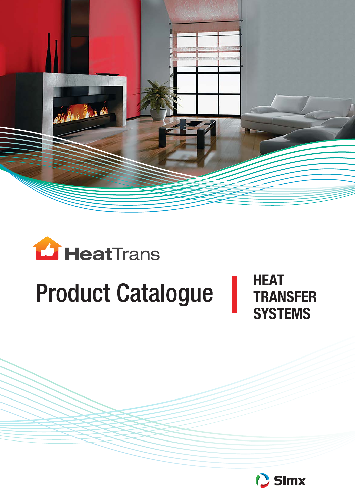



# **Product Catalogue**

**HEAT TRANSFER SYSTEMS**

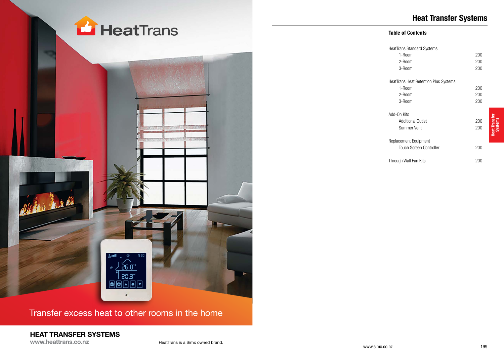

Transfer excess heat to other rooms in the home

## **HEAT TRANSFER SYSTEMS**

**www.heattrans.co.nz**

HeatTrans is a Simx owned brand.

## **Heat Transfer Systems**

## **Table of Contents**

| <b>HeatTrans Standard Systems</b>            |     |
|----------------------------------------------|-----|
| 1-Room                                       | 200 |
| 2-Room                                       | 200 |
| 3-Room                                       | 200 |
|                                              |     |
| <b>HeatTrans Heat Retention Plus Systems</b> |     |
| 1-Room                                       | 200 |
| 2-Room                                       | 200 |
| 3-Room                                       | 200 |
| Add-On Kits                                  |     |
| Additional Outlet                            | 200 |
|                                              |     |
| Summer Vent                                  | 200 |
| Replacement Equipment                        |     |
| <b>Touch Screen Controller</b>               | 200 |
|                                              |     |
| Through Wall Fan Kits                        | 200 |

www.simx.co.nz 199

**Heat Transfer Systems**